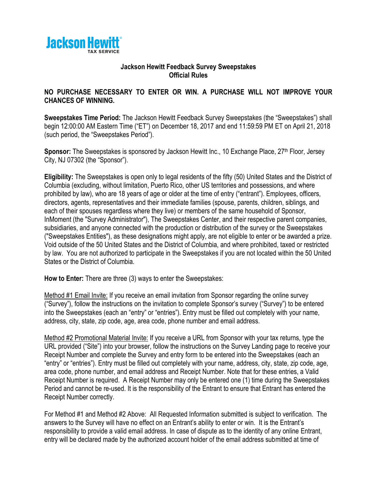

## **Jackson Hewitt Feedback Survey Sweepstakes Official Rules**

## **NO PURCHASE NECESSARY TO ENTER OR WIN. A PURCHASE WILL NOT IMPROVE YOUR CHANCES OF WINNING.**

**Sweepstakes Time Period:** The Jackson Hewitt Feedback Survey Sweepstakes (the "Sweepstakes") shall begin 12:00:00 AM Eastern Time ("ET") on December 18, 2017 and end 11:59:59 PM ET on April 21, 2018 (such period, the "Sweepstakes Period").

**Sponsor:** The Sweepstakes is sponsored by Jackson Hewitt Inc., 10 Exchange Place, 27<sup>th</sup> Floor, Jersey City, NJ 07302 (the "Sponsor").

**Eligibility:** The Sweepstakes is open only to legal residents of the fifty (50) United States and the District of Columbia (excluding, without limitation, Puerto Rico, other US territories and possessions, and where prohibited by law), who are 18 years of age or older at the time of entry ("entrant"). Employees, officers, directors, agents, representatives and their immediate families (spouse, parents, children, siblings, and each of their spouses regardless where they live) or members of the same household of Sponsor, InMoment (the "Survey Administrator"), The Sweepstakes Center, and their respective parent companies, subsidiaries, and anyone connected with the production or distribution of the survey or the Sweepstakes ("Sweepstakes Entities"), as these designations might apply, are not eligible to enter or be awarded a prize. Void outside of the 50 United States and the District of Columbia, and where prohibited, taxed or restricted by law. You are not authorized to participate in the Sweepstakes if you are not located within the 50 United States or the District of Columbia.

**How to Enter:** There are three (3) ways to enter the Sweepstakes:

Method #1 Email Invite: If you receive an email invitation from Sponsor regarding the online survey ("Survey"), follow the instructions on the invitation to complete Sponsor's survey ("Survey") to be entered into the Sweepstakes (each an "entry" or "entries"). Entry must be filled out completely with your name, address, city, state, zip code, age, area code, phone number and email address.

Method #2 Promotional Material Invite: If you receive a URL from Sponsor with your tax returns, type the URL provided ("Site") into your browser, follow the instructions on the Survey Landing page to receive your Receipt Number and complete the Survey and entry form to be entered into the Sweepstakes (each an "entry" or "entries"). Entry must be filled out completely with your name, address, city, state, zip code, age, area code, phone number, and email address and Receipt Number. Note that for these entries, a Valid Receipt Number is required. A Receipt Number may only be entered one (1) time during the Sweepstakes Period and cannot be re-used. It is the responsibility of the Entrant to ensure that Entrant has entered the Receipt Number correctly.

For Method #1 and Method #2 Above: All Requested Information submitted is subject to verification. The answers to the Survey will have no effect on an Entrant's ability to enter or win. It is the Entrant's responsibility to provide a valid email address. In case of dispute as to the identity of any online Entrant, entry will be declared made by the authorized account holder of the email address submitted at time of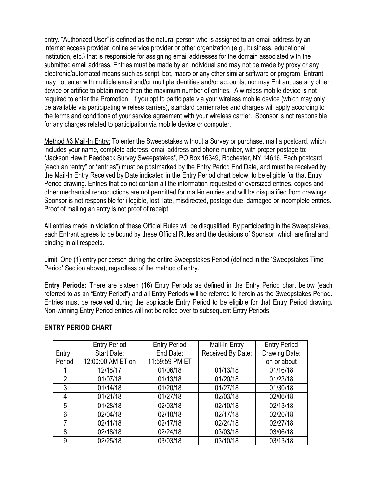entry. "Authorized User" is defined as the natural person who is assigned to an email address by an Internet access provider, online service provider or other organization (e.g., business, educational institution, etc.) that is responsible for assigning email addresses for the domain associated with the submitted email address. Entries must be made by an individual and may not be made by proxy or any electronic/automated means such as script, bot, macro or any other similar software or program. Entrant may not enter with multiple email and/or multiple identities and/or accounts, nor may Entrant use any other device or artifice to obtain more than the maximum number of entries. A wireless mobile device is not required to enter the Promotion. If you opt to participate via your wireless mobile device (which may only be available via participating wireless carriers), standard carrier rates and charges will apply according to the terms and conditions of your service agreement with your wireless carrier. Sponsor is not responsible for any charges related to participation via mobile device or computer.

Method #3 Mail-In Entry: To enter the Sweepstakes without a Survey or purchase, mail a postcard, which includes your name, complete address, email address and phone number, with proper postage to: "Jackson Hewitt Feedback Survey Sweepstakes", PO Box 16349, Rochester, NY 14616. Each postcard (each an "entry" or "entries") must be postmarked by the Entry Period End Date, and must be received by the Mail-In Entry Received by Date indicated in the Entry Period chart below, to be eligible for that Entry Period drawing. Entries that do not contain all the information requested or oversized entries, copies and other mechanical reproductions are not permitted for mail-in entries and will be disqualified from drawings. Sponsor is not responsible for illegible, lost, late, misdirected, postage due, damaged or incomplete entries. Proof of mailing an entry is not proof of receipt.

All entries made in violation of these Official Rules will be disqualified. By participating in the Sweepstakes, each Entrant agrees to be bound by these Official Rules and the decisions of Sponsor, which are final and binding in all respects.

Limit: One (1) entry per person during the entire Sweepstakes Period (defined in the 'Sweepstakes Time Period' Section above), regardless of the method of entry.

**Entry Periods:** There are sixteen (16) Entry Periods as defined in the Entry Period chart below (each referred to as an "Entry Period") and all Entry Periods will be referred to herein as the Sweepstakes Period. Entries must be received during the applicable Entry Period to be eligible for that Entry Period drawing**.**  Non-winning Entry Period entries will not be rolled over to subsequent Entry Periods.

|                | <b>Entry Period</b> | <b>Entry Period</b> | Mail-In Entry     | <b>Entry Period</b> |
|----------------|---------------------|---------------------|-------------------|---------------------|
| Entry          | Start Date:         | End Date:           | Received By Date: | Drawing Date:       |
| Period         | 12:00:00 AM ET on   | 11:59:59 PM ET      |                   | on or about         |
|                | 12/18/17            | 01/06/18            | 01/13/18          | 01/16/18            |
| $\overline{2}$ | 01/07/18            | 01/13/18            | 01/20/18          | 01/23/18            |
| 3              | 01/14/18            | 01/20/18            | 01/27/18          | 01/30/18            |
| 4              | 01/21/18            | 01/27/18            | 02/03/18          | 02/06/18            |
| 5              | 01/28/18            | 02/03/18            | 02/10/18          | 02/13/18            |
| 6              | 02/04/18            | 02/10/18            | 02/17/18          | 02/20/18            |
| 7              | 02/11/18            | 02/17/18            | 02/24/18          | 02/27/18            |
| 8              | 02/18/18            | 02/24/18            | 03/03/18          | 03/06/18            |
| 9              | 02/25/18            | 03/03/18            | 03/10/18          | 03/13/18            |

## **ENTRY PERIOD CHART**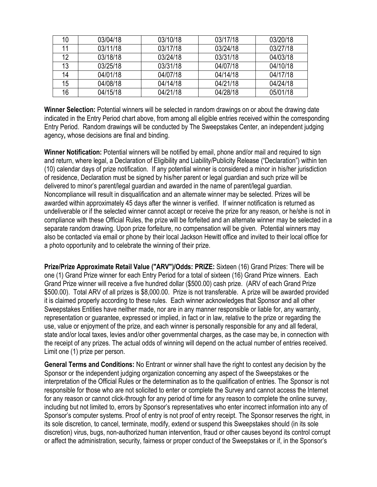| 10 | 03/04/18 | 03/10/18 | 03/17/18 | 03/20/18 |
|----|----------|----------|----------|----------|
| 11 | 03/11/18 | 03/17/18 | 03/24/18 | 03/27/18 |
| 12 | 03/18/18 | 03/24/18 | 03/31/18 | 04/03/18 |
| 13 | 03/25/18 | 03/31/18 | 04/07/18 | 04/10/18 |
| 14 | 04/01/18 | 04/07/18 | 04/14/18 | 04/17/18 |
| 15 | 04/08/18 | 04/14/18 | 04/21/18 | 04/24/18 |
| 16 | 04/15/18 | 04/21/18 | 04/28/18 | 05/01/18 |

**Winner Selection:** Potential winners will be selected in random drawings on or about the drawing date indicated in the Entry Period chart above, from among all eligible entries received within the corresponding Entry Period. Random drawings will be conducted by The Sweepstakes Center, an independent judging agency**,** whose decisions are final and binding.

**Winner Notification:** Potential winners will be notified by email, phone and/or mail and required to sign and return, where legal, a Declaration of Eligibility and Liability/Publicity Release ("Declaration") within ten (10) calendar days of prize notification. If any potential winner is considered a minor in his/her jurisdiction of residence, Declaration must be signed by his/her parent or legal guardian and such prize will be delivered to minor's parent/legal guardian and awarded in the name of parent/legal guardian. Noncompliance will result in disqualification and an alternate winner may be selected. Prizes will be awarded within approximately 45 days after the winner is verified. If winner notification is returned as undeliverable or if the selected winner cannot accept or receive the prize for any reason, or he/she is not in compliance with these Official Rules, the prize will be forfeited and an alternate winner may be selected in a separate random drawing. Upon prize forfeiture, no compensation will be given. Potential winners may also be contacted via email or phone by their local Jackson Hewitt office and invited to their local office for a photo opportunity and to celebrate the winning of their prize.

**Prize/Prize Approximate Retail Value ("ARV")/Odds: PRIZE:** Sixteen (16) Grand Prizes: There will be one (1) Grand Prize winner for each Entry Period for a total of sixteen (16) Grand Prize winners. Each Grand Prize winner will receive a five hundred dollar (\$500.00) cash prize. (ARV of each Grand Prize \$500.00). Total ARV of all prizes is \$8,000.00. Prize is not transferable. A prize will be awarded provided it is claimed properly according to these rules. Each winner acknowledges that Sponsor and all other Sweepstakes Entities have neither made, nor are in any manner responsible or liable for, any warranty, representation or guarantee, expressed or implied, in fact or in law, relative to the prize or regarding the use, value or enjoyment of the prize, and each winner is personally responsible for any and all federal, state and/or local taxes, levies and/or other governmental charges, as the case may be, in connection with the receipt of any prizes. The actual odds of winning will depend on the actual number of entries received. Limit one (1) prize per person.

**General Terms and Conditions:** No Entrant or winner shall have the right to contest any decision by the Sponsor or the independent judging organization concerning any aspect of the Sweepstakes or the interpretation of the Official Rules or the determination as to the qualification of entries. The Sponsor is not responsible for those who are not solicited to enter or complete the Survey and cannot access the Internet for any reason or cannot click-through for any period of time for any reason to complete the online survey, including but not limited to, errors by Sponsor's representatives who enter incorrect information into any of Sponsor's computer systems. Proof of entry is not proof of entry receipt. The Sponsor reserves the right, in its sole discretion, to cancel, terminate, modify, extend or suspend this Sweepstakes should (in its sole discretion) virus, bugs, non-authorized human intervention, fraud or other causes beyond its control corrupt or affect the administration, security, fairness or proper conduct of the Sweepstakes or if, in the Sponsor's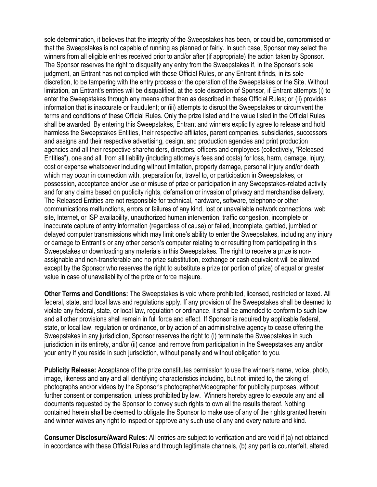sole determination, it believes that the integrity of the Sweepstakes has been, or could be, compromised or that the Sweepstakes is not capable of running as planned or fairly. In such case, Sponsor may select the winners from all eligible entries received prior to and/or after (if appropriate) the action taken by Sponsor. The Sponsor reserves the right to disqualify any entry from the Sweepstakes if, in the Sponsor's sole judgment, an Entrant has not complied with these Official Rules, or any Entrant it finds, in its sole discretion, to be tampering with the entry process or the operation of the Sweepstakes or the Site. Without limitation, an Entrant's entries will be disqualified, at the sole discretion of Sponsor, if Entrant attempts (i) to enter the Sweepstakes through any means other than as described in these Official Rules; or (ii) provides information that is inaccurate or fraudulent; or (iii) attempts to disrupt the Sweepstakes or circumvent the terms and conditions of these Official Rules. Only the prize listed and the value listed in the Official Rules shall be awarded. By entering this Sweepstakes, Entrant and winners explicitly agree to release and hold harmless the Sweepstakes Entities, their respective affiliates, parent companies, subsidiaries, successors and assigns and their respective advertising, design, and production agencies and print production agencies and all their respective shareholders, directors, officers and employees (collectively, "Released Entities"), one and all, from all liability (including attorney's fees and costs) for loss, harm, damage, injury, cost or expense whatsoever including without limitation, property damage, personal injury and/or death which may occur in connection with, preparation for, travel to, or participation in Sweepstakes, or possession, acceptance and/or use or misuse of prize or participation in any Sweepstakes-related activity and for any claims based on publicity rights, defamation or invasion of privacy and merchandise delivery. The Released Entities are not responsible for technical, hardware, software, telephone or other communications malfunctions, errors or failures of any kind, lost or unavailable network connections, web site, Internet, or ISP availability, unauthorized human intervention, traffic congestion, incomplete or inaccurate capture of entry information (regardless of cause) or failed, incomplete, garbled, jumbled or delayed computer transmissions which may limit one's ability to enter the Sweepstakes, including any injury or damage to Entrant's or any other person's computer relating to or resulting from participating in this Sweepstakes or downloading any materials in this Sweepstakes. The right to receive a prize is nonassignable and non-transferable and no prize substitution, exchange or cash equivalent will be allowed except by the Sponsor who reserves the right to substitute a prize (or portion of prize) of equal or greater value in case of unavailability of the prize or force majeure.

**Other Terms and Conditions:** The Sweepstakes is void where prohibited, licensed, restricted or taxed. All federal, state, and local laws and regulations apply. If any provision of the Sweepstakes shall be deemed to violate any federal, state, or local law, regulation or ordinance, it shall be amended to conform to such law and all other provisions shall remain in full force and effect. If Sponsor is required by applicable federal, state, or local law, regulation or ordinance, or by action of an administrative agency to cease offering the Sweepstakes in any jurisdiction, Sponsor reserves the right to (i) terminate the Sweepstakes in such jurisdiction in its entirety, and/or (ii) cancel and remove from participation in the Sweepstakes any and/or your entry if you reside in such jurisdiction, without penalty and without obligation to you.

**Publicity Release:** Acceptance of the prize constitutes permission to use the winner's name, voice, photo, image, likeness and any and all identifying characteristics including, but not limited to, the taking of photographs and/or videos by the Sponsor's photographer/videographer for publicity purposes, without further consent or compensation, unless prohibited by law. Winners hereby agree to execute any and all documents requested by the Sponsor to convey such rights to own all the results thereof. Nothing contained herein shall be deemed to obligate the Sponsor to make use of any of the rights granted herein and winner waives any right to inspect or approve any such use of any and every nature and kind.

**Consumer Disclosure/Award Rules:** All entries are subject to verification and are void if (a) not obtained in accordance with these Official Rules and through legitimate channels, (b) any part is counterfeit, altered,